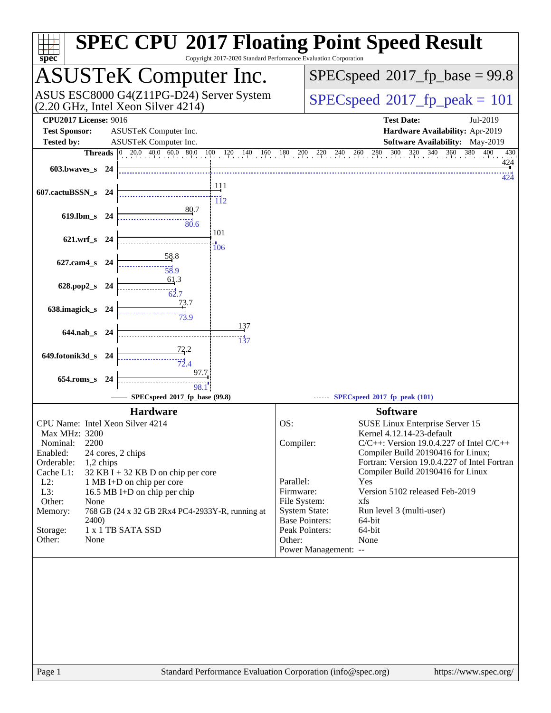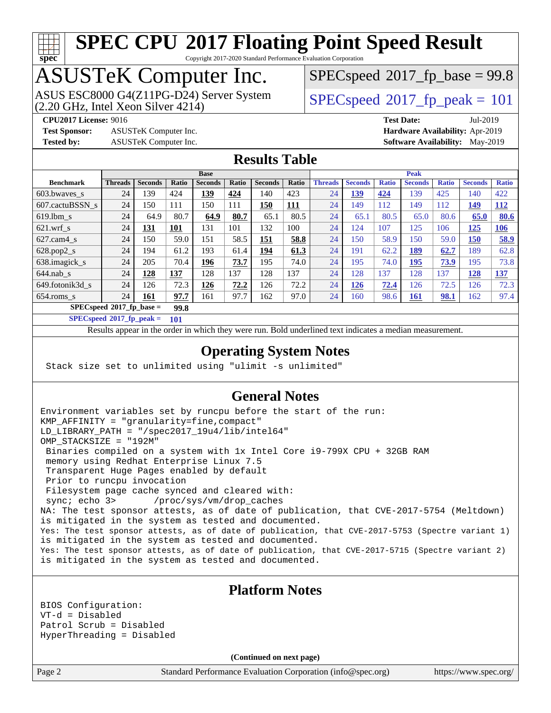# **[spec](http://www.spec.org/)**

# **[SPEC CPU](http://www.spec.org/auto/cpu2017/Docs/result-fields.html#SPECCPU2017FloatingPointSpeedResult)[2017 Floating Point Speed Result](http://www.spec.org/auto/cpu2017/Docs/result-fields.html#SPECCPU2017FloatingPointSpeedResult)**

Copyright 2017-2020 Standard Performance Evaluation Corporation

### ASUSTeK Computer Inc.

(2.20 GHz, Intel Xeon Silver 4214) ASUS ESC8000 G4(Z11PG-D24) Server System  $\big|$  [SPECspeed](http://www.spec.org/auto/cpu2017/Docs/result-fields.html#SPECspeed2017fppeak)®[2017\\_fp\\_peak =](http://www.spec.org/auto/cpu2017/Docs/result-fields.html#SPECspeed2017fppeak) 101

 $SPECspeed^{\circ}2017\_fp\_base = 99.8$  $SPECspeed^{\circ}2017\_fp\_base = 99.8$ 

**[Test Sponsor:](http://www.spec.org/auto/cpu2017/Docs/result-fields.html#TestSponsor)** ASUSTeK Computer Inc. **[Hardware Availability:](http://www.spec.org/auto/cpu2017/Docs/result-fields.html#HardwareAvailability)** Apr-2019

**[CPU2017 License:](http://www.spec.org/auto/cpu2017/Docs/result-fields.html#CPU2017License)** 9016 **[Test Date:](http://www.spec.org/auto/cpu2017/Docs/result-fields.html#TestDate)** Jul-2019 **[Tested by:](http://www.spec.org/auto/cpu2017/Docs/result-fields.html#Testedby)** ASUSTeK Computer Inc. **[Software Availability:](http://www.spec.org/auto/cpu2017/Docs/result-fields.html#SoftwareAvailability)** May-2019

#### **[Results Table](http://www.spec.org/auto/cpu2017/Docs/result-fields.html#ResultsTable)**

|                                    | <b>Base</b>    |                |              |                |       |                |            |                | <b>Peak</b>    |              |                |              |                |              |  |
|------------------------------------|----------------|----------------|--------------|----------------|-------|----------------|------------|----------------|----------------|--------------|----------------|--------------|----------------|--------------|--|
| <b>Benchmark</b>                   | <b>Threads</b> | <b>Seconds</b> | <b>Ratio</b> | <b>Seconds</b> | Ratio | <b>Seconds</b> | Ratio      | <b>Threads</b> | <b>Seconds</b> | <b>Ratio</b> | <b>Seconds</b> | <b>Ratio</b> | <b>Seconds</b> | <b>Ratio</b> |  |
| 603.bwayes s                       | 24             | 139            | 424          | 139            | 424   | 140            | 423        | 24             | <u>139</u>     | 424          | 139            | 425          | 140            | 422          |  |
| 607.cactuBSSN s                    | 24             | 150            | 111          | 150            | 111   | 150            | <b>111</b> | 24             | 149            | 112          | 149            | 112          | <u>149</u>     | <b>112</b>   |  |
| $619.$ lbm s                       | 24             | 64.9           | 80.7         | 64.9           | 80.7  | 65.1           | 80.5       | 24             | 65.1           | 80.5         | 65.0           | 80.6         | 65.0           | 80.6         |  |
| $621$ .wrf s                       | 24             | 131            | <b>101</b>   | 131            | 101   | 132            | 100        | 24             | 124            | 107          | 125            | 106          | <u>125</u>     | <b>106</b>   |  |
| $627.cam4_s$                       | 24             | 150            | 59.0         | 151            | 58.5  | <u> 151</u>    | 58.8       | 24             | 150            | 58.9         | 150            | 59.0         | <b>150</b>     | 58.9         |  |
| $628.pop2_s$                       | 24             | 194            | 61.2         | 193            | 61.4  | 194            | 61.3       | 24             | 191            | 62.2         | 189            | 62.7         | 189            | 62.8         |  |
| 638.imagick_s                      | 24             | 205            | 70.4         | 196            | 73.7  | 195            | 74.0       | 24             | 195            | 74.0         | 195            | 73.9         | 195            | 73.8         |  |
| $644$ .nab s                       | 24             | 128            | 137          | 128            | 137   | 128            | 137        | 24             | 128            | 137          | 128            | 137          | <u>128</u>     | 137          |  |
| 649.fotonik3d s                    | 24             | 126            | 72.3         | 126            | 72.2  | 126            | 72.2       | 24             | 126            | 72.4         | 126            | 72.5         | 126            | 72.3         |  |
| $654$ .roms s                      | 24             | <u> 161</u>    | 97.7         | 161            | 97.7  | 162            | 97.0       | 24             | 160            | 98.6         | <u> 161</u>    | 98.1         | 162            | 97.4         |  |
| $SPECspeed*2017$ fp base =<br>99.8 |                |                |              |                |       |                |            |                |                |              |                |              |                |              |  |

**[SPECspeed](http://www.spec.org/auto/cpu2017/Docs/result-fields.html#SPECspeed2017fppeak)[2017\\_fp\\_peak =](http://www.spec.org/auto/cpu2017/Docs/result-fields.html#SPECspeed2017fppeak) 101**

Results appear in the [order in which they were run.](http://www.spec.org/auto/cpu2017/Docs/result-fields.html#RunOrder) Bold underlined text [indicates a median measurement](http://www.spec.org/auto/cpu2017/Docs/result-fields.html#Median).

#### **[Operating System Notes](http://www.spec.org/auto/cpu2017/Docs/result-fields.html#OperatingSystemNotes)**

Stack size set to unlimited using "ulimit -s unlimited"

#### **[General Notes](http://www.spec.org/auto/cpu2017/Docs/result-fields.html#GeneralNotes)**

Environment variables set by runcpu before the start of the run: KMP\_AFFINITY = "granularity=fine,compact" LD\_LIBRARY\_PATH = "/spec2017\_19u4/lib/intel64" OMP\_STACKSIZE = "192M" Binaries compiled on a system with 1x Intel Core i9-799X CPU + 32GB RAM memory using Redhat Enterprise Linux 7.5 Transparent Huge Pages enabled by default Prior to runcpu invocation Filesystem page cache synced and cleared with: sync; echo 3> /proc/sys/vm/drop\_caches NA: The test sponsor attests, as of date of publication, that CVE-2017-5754 (Meltdown) is mitigated in the system as tested and documented. Yes: The test sponsor attests, as of date of publication, that CVE-2017-5753 (Spectre variant 1) is mitigated in the system as tested and documented. Yes: The test sponsor attests, as of date of publication, that CVE-2017-5715 (Spectre variant 2) is mitigated in the system as tested and documented.

#### **[Platform Notes](http://www.spec.org/auto/cpu2017/Docs/result-fields.html#PlatformNotes)**

BIOS Configuration: VT-d = Disabled Patrol Scrub = Disabled HyperThreading = Disabled

**(Continued on next page)**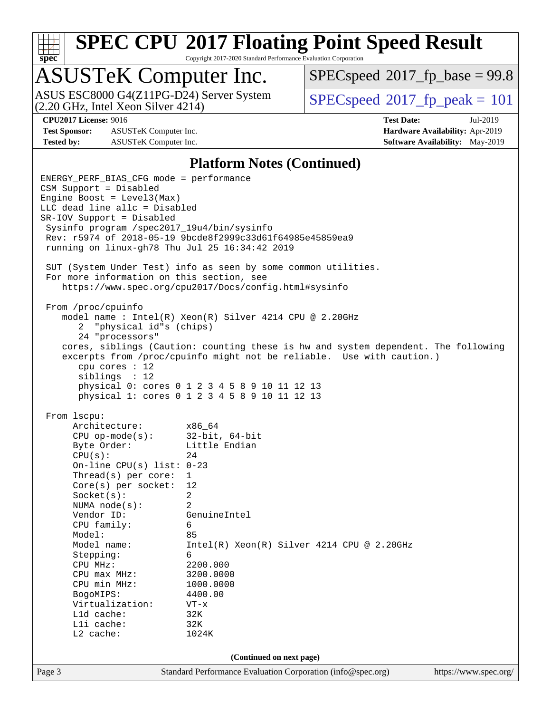

Copyright 2017-2020 Standard Performance Evaluation Corporation

### ASUSTeK Computer Inc.

(2.20 GHz, Intel Xeon Silver 4214) ASUS ESC8000 G4(Z11PG-D24) Server System  $\big|$  [SPECspeed](http://www.spec.org/auto/cpu2017/Docs/result-fields.html#SPECspeed2017fppeak)®[2017\\_fp\\_peak =](http://www.spec.org/auto/cpu2017/Docs/result-fields.html#SPECspeed2017fppeak) 101

 $SPECspeed^{\circ}2017\_fp\_base = 99.8$  $SPECspeed^{\circ}2017\_fp\_base = 99.8$ 

**[Test Sponsor:](http://www.spec.org/auto/cpu2017/Docs/result-fields.html#TestSponsor)** ASUSTeK Computer Inc. **[Hardware Availability:](http://www.spec.org/auto/cpu2017/Docs/result-fields.html#HardwareAvailability)** Apr-2019 **[Tested by:](http://www.spec.org/auto/cpu2017/Docs/result-fields.html#Testedby)** ASUSTeK Computer Inc. **[Software Availability:](http://www.spec.org/auto/cpu2017/Docs/result-fields.html#SoftwareAvailability)** May-2019

**[CPU2017 License:](http://www.spec.org/auto/cpu2017/Docs/result-fields.html#CPU2017License)** 9016 **[Test Date:](http://www.spec.org/auto/cpu2017/Docs/result-fields.html#TestDate)** Jul-2019

#### **[Platform Notes \(Continued\)](http://www.spec.org/auto/cpu2017/Docs/result-fields.html#PlatformNotes)**

Page 3 Standard Performance Evaluation Corporation [\(info@spec.org\)](mailto:info@spec.org) <https://www.spec.org/> ENERGY\_PERF\_BIAS\_CFG mode = performance CSM Support = Disabled Engine Boost = Level3(Max) LLC dead line allc = Disabled SR-IOV Support = Disabled Sysinfo program /spec2017\_19u4/bin/sysinfo Rev: r5974 of 2018-05-19 9bcde8f2999c33d61f64985e45859ea9 running on linux-gh78 Thu Jul 25 16:34:42 2019 SUT (System Under Test) info as seen by some common utilities. For more information on this section, see <https://www.spec.org/cpu2017/Docs/config.html#sysinfo> From /proc/cpuinfo model name : Intel(R) Xeon(R) Silver 4214 CPU @ 2.20GHz 2 "physical id"s (chips) 24 "processors" cores, siblings (Caution: counting these is hw and system dependent. The following excerpts from /proc/cpuinfo might not be reliable. Use with caution.) cpu cores : 12 siblings : 12 physical 0: cores 0 1 2 3 4 5 8 9 10 11 12 13 physical 1: cores 0 1 2 3 4 5 8 9 10 11 12 13 From lscpu: Architecture: x86\_64 CPU op-mode(s): 32-bit, 64-bit Byte Order: Little Endian  $CPU(s):$  24 On-line CPU(s) list: 0-23 Thread(s) per core: 1 Core(s) per socket: 12 Socket(s): 2 NUMA node(s): 2 Vendor ID: GenuineIntel CPU family: 6 Model: 85 Model name: Intel(R) Xeon(R) Silver 4214 CPU @ 2.20GHz Stepping: 6 CPU MHz: 2200.000 CPU max MHz: 3200.0000 CPU min MHz: 1000.0000 BogoMIPS: 4400.00 Virtualization: VT-x L1d cache: 32K L1i cache: 32K L2 cache: 1024K **(Continued on next page)**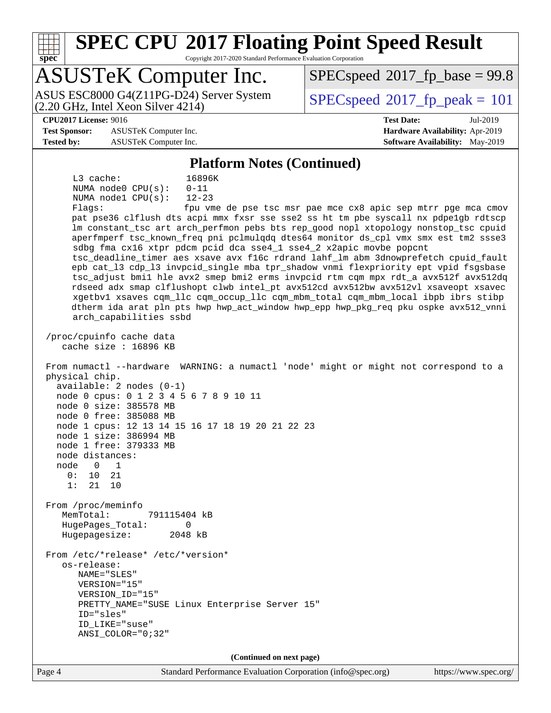

Copyright 2017-2020 Standard Performance Evaluation Corporation

## ASUSTeK Computer Inc.

(2.20 GHz, Intel Xeon Silver 4214) ASUS ESC8000 G4(Z11PG-D24) Server System  $\big|$  [SPECspeed](http://www.spec.org/auto/cpu2017/Docs/result-fields.html#SPECspeed2017fppeak)®[2017\\_fp\\_peak =](http://www.spec.org/auto/cpu2017/Docs/result-fields.html#SPECspeed2017fppeak) 101

 $SPECspeed^{\circ}2017\_fp\_base = 99.8$  $SPECspeed^{\circ}2017\_fp\_base = 99.8$ 

**[Test Sponsor:](http://www.spec.org/auto/cpu2017/Docs/result-fields.html#TestSponsor)** ASUSTeK Computer Inc. **[Hardware Availability:](http://www.spec.org/auto/cpu2017/Docs/result-fields.html#HardwareAvailability)** Apr-2019 **[Tested by:](http://www.spec.org/auto/cpu2017/Docs/result-fields.html#Testedby)** ASUSTeK Computer Inc. **[Software Availability:](http://www.spec.org/auto/cpu2017/Docs/result-fields.html#SoftwareAvailability)** May-2019

# **[CPU2017 License:](http://www.spec.org/auto/cpu2017/Docs/result-fields.html#CPU2017License)** 9016 **[Test Date:](http://www.spec.org/auto/cpu2017/Docs/result-fields.html#TestDate)** Jul-2019

#### **[Platform Notes \(Continued\)](http://www.spec.org/auto/cpu2017/Docs/result-fields.html#PlatformNotes)**

 L3 cache: 16896K NUMA node0  $CPU(s): 0-11$ <br>NUMA node1  $CPU(s): 12-23$ NUMA node1  $CPU(s):$ 

Flags: fpu vme de pse tsc msr pae mce cx8 apic sep mtrr pge mca cmov pat pse36 clflush dts acpi mmx fxsr sse sse2 ss ht tm pbe syscall nx pdpe1gb rdtscp lm constant\_tsc art arch\_perfmon pebs bts rep\_good nopl xtopology nonstop\_tsc cpuid aperfmperf tsc\_known\_freq pni pclmulqdq dtes64 monitor ds\_cpl vmx smx est tm2 ssse3 sdbg fma cx16 xtpr pdcm pcid dca sse4\_1 sse4\_2 x2apic movbe popcnt tsc\_deadline\_timer aes xsave avx f16c rdrand lahf\_lm abm 3dnowprefetch cpuid\_fault epb cat\_l3 cdp\_l3 invpcid\_single mba tpr\_shadow vnmi flexpriority ept vpid fsgsbase tsc\_adjust bmi1 hle avx2 smep bmi2 erms invpcid rtm cqm mpx rdt\_a avx512f avx512dq rdseed adx smap clflushopt clwb intel\_pt avx512cd avx512bw avx512vl xsaveopt xsavec xgetbv1 xsaves cqm\_llc cqm\_occup\_llc cqm\_mbm\_total cqm\_mbm\_local ibpb ibrs stibp dtherm ida arat pln pts hwp hwp\_act\_window hwp\_epp hwp\_pkg\_req pku ospke avx512\_vnni arch\_capabilities ssbd

 /proc/cpuinfo cache data cache size : 16896 KB

 From numactl --hardware WARNING: a numactl 'node' might or might not correspond to a physical chip.

 available: 2 nodes (0-1) node 0 cpus: 0 1 2 3 4 5 6 7 8 9 10 11 node 0 size: 385578 MB node 0 free: 385088 MB node 1 cpus: 12 13 14 15 16 17 18 19 20 21 22 23 node 1 size: 386994 MB

 node 1 free: 379333 MB node distances: node 0 1

 0: 10 21 1: 21 10

 From /proc/meminfo MemTotal: 791115404 kB HugePages\_Total: 0

Hugepagesize: 2048 kB

 From /etc/\*release\* /etc/\*version\* os-release: NAME="SLES" VERSION="15" VERSION\_ID="15" PRETTY\_NAME="SUSE Linux Enterprise Server 15" ID="sles" ID\_LIKE="suse" ANSI\_COLOR="0;32"

**(Continued on next page)**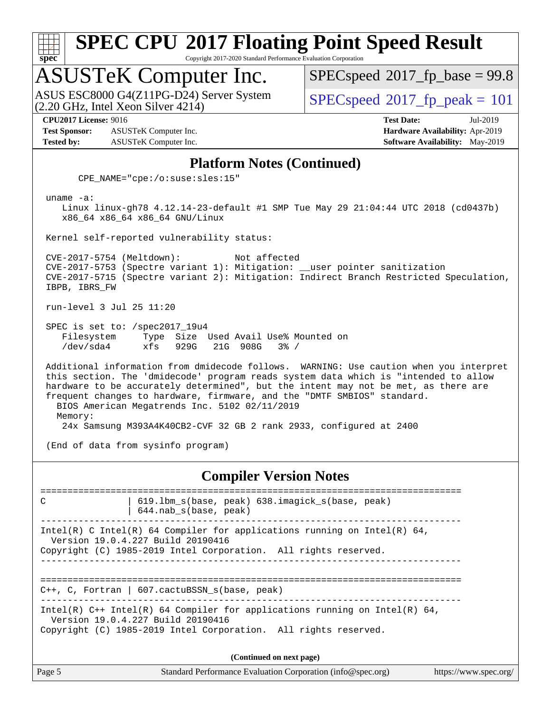

Copyright 2017-2020 Standard Performance Evaluation Corporation

# ASUSTeK Computer Inc.<br>ASUS ESC8000 G4(Z11PG-D24) Server System

(2.20 GHz, Intel Xeon Silver 4214)

 $SPECspeed^{\circ}2017\_fp\_base = 99.8$  $SPECspeed^{\circ}2017\_fp\_base = 99.8$ 

 $SPECspeed^{\circ}2017_fpp_eak = 101$  $SPECspeed^{\circ}2017_fpp_eak = 101$ 

**[Test Sponsor:](http://www.spec.org/auto/cpu2017/Docs/result-fields.html#TestSponsor)** ASUSTeK Computer Inc. **[Hardware Availability:](http://www.spec.org/auto/cpu2017/Docs/result-fields.html#HardwareAvailability)** Apr-2019 **[Tested by:](http://www.spec.org/auto/cpu2017/Docs/result-fields.html#Testedby)** ASUSTeK Computer Inc. **[Software Availability:](http://www.spec.org/auto/cpu2017/Docs/result-fields.html#SoftwareAvailability)** May-2019

**[CPU2017 License:](http://www.spec.org/auto/cpu2017/Docs/result-fields.html#CPU2017License)** 9016 **[Test Date:](http://www.spec.org/auto/cpu2017/Docs/result-fields.html#TestDate)** Jul-2019

#### **[Platform Notes \(Continued\)](http://www.spec.org/auto/cpu2017/Docs/result-fields.html#PlatformNotes)**

CPE\_NAME="cpe:/o:suse:sles:15"

uname -a:

 Linux linux-gh78 4.12.14-23-default #1 SMP Tue May 29 21:04:44 UTC 2018 (cd0437b) x86\_64 x86\_64 x86\_64 GNU/Linux

Kernel self-reported vulnerability status:

 CVE-2017-5754 (Meltdown): Not affected CVE-2017-5753 (Spectre variant 1): Mitigation: \_\_user pointer sanitization CVE-2017-5715 (Spectre variant 2): Mitigation: Indirect Branch Restricted Speculation, IBPB, IBRS\_FW

run-level 3 Jul 25 11:20

 SPEC is set to: /spec2017\_19u4 Filesystem Type Size Used Avail Use% Mounted on /dev/sda4 xfs 929G 21G 908G 3% /

 Additional information from dmidecode follows. WARNING: Use caution when you interpret this section. The 'dmidecode' program reads system data which is "intended to allow hardware to be accurately determined", but the intent may not be met, as there are frequent changes to hardware, firmware, and the "DMTF SMBIOS" standard. BIOS American Megatrends Inc. 5102 02/11/2019 Memory:

24x Samsung M393A4K40CB2-CVF 32 GB 2 rank 2933, configured at 2400

(End of data from sysinfo program)

#### **[Compiler Version Notes](http://www.spec.org/auto/cpu2017/Docs/result-fields.html#CompilerVersionNotes)**

============================================================================== C | 619.lbm\_s(base, peak) 638.imagick\_s(base, peak) | 644.nab\_s(base, peak) ------------------------------------------------------------------------------ Intel(R) C Intel(R) 64 Compiler for applications running on Intel(R)  $64$ , Version 19.0.4.227 Build 20190416 Copyright (C) 1985-2019 Intel Corporation. All rights reserved. ------------------------------------------------------------------------------ ============================================================================== C++, C, Fortran | 607.cactuBSSN\_s(base, peak) ------------------------------------------------------------------------------ Intel(R) C++ Intel(R) 64 Compiler for applications running on Intel(R) 64, Version 19.0.4.227 Build 20190416 Copyright (C) 1985-2019 Intel Corporation. All rights reserved. **(Continued on next page)**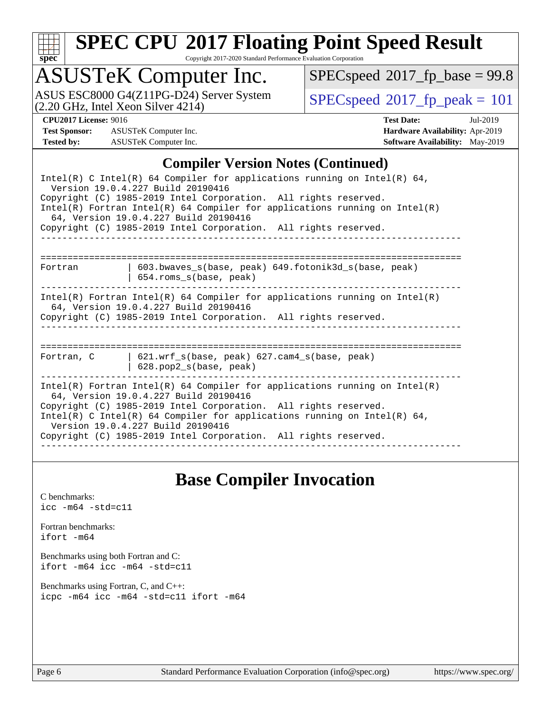

Copyright 2017-2020 Standard Performance Evaluation Corporation

### ASUSTeK Computer Inc.

(2.20 GHz, Intel Xeon Silver 4214) ASUS ESC8000 G4(Z11PG-D24) Server System  $S^{PEC}$  Speed®[2017\\_fp\\_peak =](http://www.spec.org/auto/cpu2017/Docs/result-fields.html#SPECspeed2017fppeak) 101

 $SPECspeed@2017_fp\_base = 99.8$  $SPECspeed@2017_fp\_base = 99.8$ 

**[Test Sponsor:](http://www.spec.org/auto/cpu2017/Docs/result-fields.html#TestSponsor)** ASUSTeK Computer Inc. **[Hardware Availability:](http://www.spec.org/auto/cpu2017/Docs/result-fields.html#HardwareAvailability)** Apr-2019 **[Tested by:](http://www.spec.org/auto/cpu2017/Docs/result-fields.html#Testedby)** ASUSTeK Computer Inc. **[Software Availability:](http://www.spec.org/auto/cpu2017/Docs/result-fields.html#SoftwareAvailability)** May-2019

**[CPU2017 License:](http://www.spec.org/auto/cpu2017/Docs/result-fields.html#CPU2017License)** 9016 **[Test Date:](http://www.spec.org/auto/cpu2017/Docs/result-fields.html#TestDate)** Jul-2019

#### **[Compiler Version Notes \(Continued\)](http://www.spec.org/auto/cpu2017/Docs/result-fields.html#CompilerVersionNotes)**

| Intel(R) C Intel(R) 64 Compiler for applications running on Intel(R) 64,<br>Version 19.0.4.227 Build 20190416                                                                          |  |  |  |  |  |  |  |  |
|----------------------------------------------------------------------------------------------------------------------------------------------------------------------------------------|--|--|--|--|--|--|--|--|
| Copyright (C) 1985-2019 Intel Corporation. All rights reserved.                                                                                                                        |  |  |  |  |  |  |  |  |
| Intel(R) Fortran Intel(R) 64 Compiler for applications running on Intel(R)<br>64, Version 19.0.4.227 Build 20190416                                                                    |  |  |  |  |  |  |  |  |
| Copyright (C) 1985-2019 Intel Corporation. All rights reserved.                                                                                                                        |  |  |  |  |  |  |  |  |
|                                                                                                                                                                                        |  |  |  |  |  |  |  |  |
| 603.bwaves s(base, peak) 649.fotonik3d s(base, peak)<br>Fortran<br>654.roms_s(base, peak)                                                                                              |  |  |  |  |  |  |  |  |
| Intel(R) Fortran Intel(R) 64 Compiler for applications running on Intel(R)<br>64, Version 19.0.4.227 Build 20190416<br>Copyright (C) 1985-2019 Intel Corporation. All rights reserved. |  |  |  |  |  |  |  |  |
|                                                                                                                                                                                        |  |  |  |  |  |  |  |  |
| 621.wrf_s(base, peak) 627.cam4_s(base, peak)<br>Fortran, C<br>628.pop2_s(base, peak)                                                                                                   |  |  |  |  |  |  |  |  |
| Intel(R) Fortran Intel(R) 64 Compiler for applications running on Intel(R)<br>64, Version 19.0.4.227 Build 20190416                                                                    |  |  |  |  |  |  |  |  |
| Copyright (C) 1985-2019 Intel Corporation. All rights reserved.<br>Intel(R) C Intel(R) 64 Compiler for applications running on Intel(R) 64,<br>Version 19.0.4.227 Build 20190416       |  |  |  |  |  |  |  |  |
| Copyright (C) 1985-2019 Intel Corporation. All rights reserved.                                                                                                                        |  |  |  |  |  |  |  |  |

#### **[Base Compiler Invocation](http://www.spec.org/auto/cpu2017/Docs/result-fields.html#BaseCompilerInvocation)**

[C benchmarks](http://www.spec.org/auto/cpu2017/Docs/result-fields.html#Cbenchmarks): [icc -m64 -std=c11](http://www.spec.org/cpu2017/results/res2019q3/cpu2017-20190805-16598.flags.html#user_CCbase_intel_icc_64bit_c11_33ee0cdaae7deeeab2a9725423ba97205ce30f63b9926c2519791662299b76a0318f32ddfffdc46587804de3178b4f9328c46fa7c2b0cd779d7a61945c91cd35)

[Fortran benchmarks](http://www.spec.org/auto/cpu2017/Docs/result-fields.html#Fortranbenchmarks): [ifort -m64](http://www.spec.org/cpu2017/results/res2019q3/cpu2017-20190805-16598.flags.html#user_FCbase_intel_ifort_64bit_24f2bb282fbaeffd6157abe4f878425411749daecae9a33200eee2bee2fe76f3b89351d69a8130dd5949958ce389cf37ff59a95e7a40d588e8d3a57e0c3fd751)

[Benchmarks using both Fortran and C](http://www.spec.org/auto/cpu2017/Docs/result-fields.html#BenchmarksusingbothFortranandC): [ifort -m64](http://www.spec.org/cpu2017/results/res2019q3/cpu2017-20190805-16598.flags.html#user_CC_FCbase_intel_ifort_64bit_24f2bb282fbaeffd6157abe4f878425411749daecae9a33200eee2bee2fe76f3b89351d69a8130dd5949958ce389cf37ff59a95e7a40d588e8d3a57e0c3fd751) [icc -m64 -std=c11](http://www.spec.org/cpu2017/results/res2019q3/cpu2017-20190805-16598.flags.html#user_CC_FCbase_intel_icc_64bit_c11_33ee0cdaae7deeeab2a9725423ba97205ce30f63b9926c2519791662299b76a0318f32ddfffdc46587804de3178b4f9328c46fa7c2b0cd779d7a61945c91cd35)

[Benchmarks using Fortran, C, and C++:](http://www.spec.org/auto/cpu2017/Docs/result-fields.html#BenchmarksusingFortranCandCXX) [icpc -m64](http://www.spec.org/cpu2017/results/res2019q3/cpu2017-20190805-16598.flags.html#user_CC_CXX_FCbase_intel_icpc_64bit_4ecb2543ae3f1412ef961e0650ca070fec7b7afdcd6ed48761b84423119d1bf6bdf5cad15b44d48e7256388bc77273b966e5eb805aefd121eb22e9299b2ec9d9) [icc -m64 -std=c11](http://www.spec.org/cpu2017/results/res2019q3/cpu2017-20190805-16598.flags.html#user_CC_CXX_FCbase_intel_icc_64bit_c11_33ee0cdaae7deeeab2a9725423ba97205ce30f63b9926c2519791662299b76a0318f32ddfffdc46587804de3178b4f9328c46fa7c2b0cd779d7a61945c91cd35) [ifort -m64](http://www.spec.org/cpu2017/results/res2019q3/cpu2017-20190805-16598.flags.html#user_CC_CXX_FCbase_intel_ifort_64bit_24f2bb282fbaeffd6157abe4f878425411749daecae9a33200eee2bee2fe76f3b89351d69a8130dd5949958ce389cf37ff59a95e7a40d588e8d3a57e0c3fd751)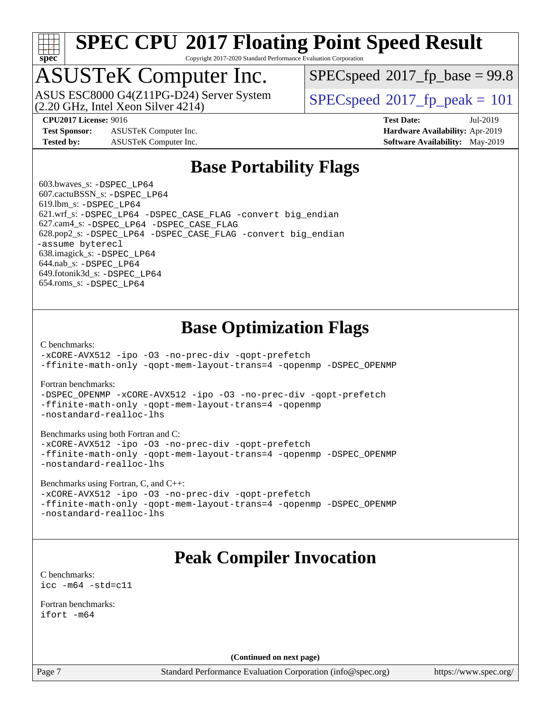

Copyright 2017-2020 Standard Performance Evaluation Corporation

### ASUSTeK Computer Inc.

(2.20 GHz, Intel Xeon Silver 4214) ASUS ESC8000 G4(Z11PG-D24) Server System  $\vert$  [SPECspeed](http://www.spec.org/auto/cpu2017/Docs/result-fields.html#SPECspeed2017fppeak)®[2017\\_fp\\_peak =](http://www.spec.org/auto/cpu2017/Docs/result-fields.html#SPECspeed2017fppeak) 101

 $SPECspeed^{\circ}2017\_fp\_base = 99.8$  $SPECspeed^{\circ}2017\_fp\_base = 99.8$ 

**[Test Sponsor:](http://www.spec.org/auto/cpu2017/Docs/result-fields.html#TestSponsor)** ASUSTeK Computer Inc. **[Hardware Availability:](http://www.spec.org/auto/cpu2017/Docs/result-fields.html#HardwareAvailability)** Apr-2019 **[Tested by:](http://www.spec.org/auto/cpu2017/Docs/result-fields.html#Testedby)** ASUSTeK Computer Inc. **[Software Availability:](http://www.spec.org/auto/cpu2017/Docs/result-fields.html#SoftwareAvailability)** May-2019

**[CPU2017 License:](http://www.spec.org/auto/cpu2017/Docs/result-fields.html#CPU2017License)** 9016 **[Test Date:](http://www.spec.org/auto/cpu2017/Docs/result-fields.html#TestDate)** Jul-2019

#### **[Base Portability Flags](http://www.spec.org/auto/cpu2017/Docs/result-fields.html#BasePortabilityFlags)**

 603.bwaves\_s: [-DSPEC\\_LP64](http://www.spec.org/cpu2017/results/res2019q3/cpu2017-20190805-16598.flags.html#suite_basePORTABILITY603_bwaves_s_DSPEC_LP64) 607.cactuBSSN\_s: [-DSPEC\\_LP64](http://www.spec.org/cpu2017/results/res2019q3/cpu2017-20190805-16598.flags.html#suite_basePORTABILITY607_cactuBSSN_s_DSPEC_LP64) 619.lbm\_s: [-DSPEC\\_LP64](http://www.spec.org/cpu2017/results/res2019q3/cpu2017-20190805-16598.flags.html#suite_basePORTABILITY619_lbm_s_DSPEC_LP64) 621.wrf\_s: [-DSPEC\\_LP64](http://www.spec.org/cpu2017/results/res2019q3/cpu2017-20190805-16598.flags.html#suite_basePORTABILITY621_wrf_s_DSPEC_LP64) [-DSPEC\\_CASE\\_FLAG](http://www.spec.org/cpu2017/results/res2019q3/cpu2017-20190805-16598.flags.html#b621.wrf_s_baseCPORTABILITY_DSPEC_CASE_FLAG) [-convert big\\_endian](http://www.spec.org/cpu2017/results/res2019q3/cpu2017-20190805-16598.flags.html#user_baseFPORTABILITY621_wrf_s_convert_big_endian_c3194028bc08c63ac5d04de18c48ce6d347e4e562e8892b8bdbdc0214820426deb8554edfa529a3fb25a586e65a3d812c835984020483e7e73212c4d31a38223) 627.cam4\_s: [-DSPEC\\_LP64](http://www.spec.org/cpu2017/results/res2019q3/cpu2017-20190805-16598.flags.html#suite_basePORTABILITY627_cam4_s_DSPEC_LP64) [-DSPEC\\_CASE\\_FLAG](http://www.spec.org/cpu2017/results/res2019q3/cpu2017-20190805-16598.flags.html#b627.cam4_s_baseCPORTABILITY_DSPEC_CASE_FLAG) 628.pop2\_s: [-DSPEC\\_LP64](http://www.spec.org/cpu2017/results/res2019q3/cpu2017-20190805-16598.flags.html#suite_basePORTABILITY628_pop2_s_DSPEC_LP64) [-DSPEC\\_CASE\\_FLAG](http://www.spec.org/cpu2017/results/res2019q3/cpu2017-20190805-16598.flags.html#b628.pop2_s_baseCPORTABILITY_DSPEC_CASE_FLAG) [-convert big\\_endian](http://www.spec.org/cpu2017/results/res2019q3/cpu2017-20190805-16598.flags.html#user_baseFPORTABILITY628_pop2_s_convert_big_endian_c3194028bc08c63ac5d04de18c48ce6d347e4e562e8892b8bdbdc0214820426deb8554edfa529a3fb25a586e65a3d812c835984020483e7e73212c4d31a38223) [-assume byterecl](http://www.spec.org/cpu2017/results/res2019q3/cpu2017-20190805-16598.flags.html#user_baseFPORTABILITY628_pop2_s_assume_byterecl_7e47d18b9513cf18525430bbf0f2177aa9bf368bc7a059c09b2c06a34b53bd3447c950d3f8d6c70e3faf3a05c8557d66a5798b567902e8849adc142926523472) 638.imagick\_s: [-DSPEC\\_LP64](http://www.spec.org/cpu2017/results/res2019q3/cpu2017-20190805-16598.flags.html#suite_basePORTABILITY638_imagick_s_DSPEC_LP64) 644.nab\_s: [-DSPEC\\_LP64](http://www.spec.org/cpu2017/results/res2019q3/cpu2017-20190805-16598.flags.html#suite_basePORTABILITY644_nab_s_DSPEC_LP64) 649.fotonik3d\_s: [-DSPEC\\_LP64](http://www.spec.org/cpu2017/results/res2019q3/cpu2017-20190805-16598.flags.html#suite_basePORTABILITY649_fotonik3d_s_DSPEC_LP64) 654.roms\_s: [-DSPEC\\_LP64](http://www.spec.org/cpu2017/results/res2019q3/cpu2017-20190805-16598.flags.html#suite_basePORTABILITY654_roms_s_DSPEC_LP64)

#### **[Base Optimization Flags](http://www.spec.org/auto/cpu2017/Docs/result-fields.html#BaseOptimizationFlags)**

[C benchmarks](http://www.spec.org/auto/cpu2017/Docs/result-fields.html#Cbenchmarks):

[-xCORE-AVX512](http://www.spec.org/cpu2017/results/res2019q3/cpu2017-20190805-16598.flags.html#user_CCbase_f-xCORE-AVX512) [-ipo](http://www.spec.org/cpu2017/results/res2019q3/cpu2017-20190805-16598.flags.html#user_CCbase_f-ipo) [-O3](http://www.spec.org/cpu2017/results/res2019q3/cpu2017-20190805-16598.flags.html#user_CCbase_f-O3) [-no-prec-div](http://www.spec.org/cpu2017/results/res2019q3/cpu2017-20190805-16598.flags.html#user_CCbase_f-no-prec-div) [-qopt-prefetch](http://www.spec.org/cpu2017/results/res2019q3/cpu2017-20190805-16598.flags.html#user_CCbase_f-qopt-prefetch) [-ffinite-math-only](http://www.spec.org/cpu2017/results/res2019q3/cpu2017-20190805-16598.flags.html#user_CCbase_f_finite_math_only_cb91587bd2077682c4b38af759c288ed7c732db004271a9512da14a4f8007909a5f1427ecbf1a0fb78ff2a814402c6114ac565ca162485bbcae155b5e4258871) [-qopt-mem-layout-trans=4](http://www.spec.org/cpu2017/results/res2019q3/cpu2017-20190805-16598.flags.html#user_CCbase_f-qopt-mem-layout-trans_fa39e755916c150a61361b7846f310bcdf6f04e385ef281cadf3647acec3f0ae266d1a1d22d972a7087a248fd4e6ca390a3634700869573d231a252c784941a8) [-qopenmp](http://www.spec.org/cpu2017/results/res2019q3/cpu2017-20190805-16598.flags.html#user_CCbase_qopenmp_16be0c44f24f464004c6784a7acb94aca937f053568ce72f94b139a11c7c168634a55f6653758ddd83bcf7b8463e8028bb0b48b77bcddc6b78d5d95bb1df2967) [-DSPEC\\_OPENMP](http://www.spec.org/cpu2017/results/res2019q3/cpu2017-20190805-16598.flags.html#suite_CCbase_DSPEC_OPENMP)

[Fortran benchmarks](http://www.spec.org/auto/cpu2017/Docs/result-fields.html#Fortranbenchmarks):

[-DSPEC\\_OPENMP](http://www.spec.org/cpu2017/results/res2019q3/cpu2017-20190805-16598.flags.html#suite_FCbase_DSPEC_OPENMP) [-xCORE-AVX512](http://www.spec.org/cpu2017/results/res2019q3/cpu2017-20190805-16598.flags.html#user_FCbase_f-xCORE-AVX512) [-ipo](http://www.spec.org/cpu2017/results/res2019q3/cpu2017-20190805-16598.flags.html#user_FCbase_f-ipo) [-O3](http://www.spec.org/cpu2017/results/res2019q3/cpu2017-20190805-16598.flags.html#user_FCbase_f-O3) [-no-prec-div](http://www.spec.org/cpu2017/results/res2019q3/cpu2017-20190805-16598.flags.html#user_FCbase_f-no-prec-div) [-qopt-prefetch](http://www.spec.org/cpu2017/results/res2019q3/cpu2017-20190805-16598.flags.html#user_FCbase_f-qopt-prefetch) [-ffinite-math-only](http://www.spec.org/cpu2017/results/res2019q3/cpu2017-20190805-16598.flags.html#user_FCbase_f_finite_math_only_cb91587bd2077682c4b38af759c288ed7c732db004271a9512da14a4f8007909a5f1427ecbf1a0fb78ff2a814402c6114ac565ca162485bbcae155b5e4258871) [-qopt-mem-layout-trans=4](http://www.spec.org/cpu2017/results/res2019q3/cpu2017-20190805-16598.flags.html#user_FCbase_f-qopt-mem-layout-trans_fa39e755916c150a61361b7846f310bcdf6f04e385ef281cadf3647acec3f0ae266d1a1d22d972a7087a248fd4e6ca390a3634700869573d231a252c784941a8) [-qopenmp](http://www.spec.org/cpu2017/results/res2019q3/cpu2017-20190805-16598.flags.html#user_FCbase_qopenmp_16be0c44f24f464004c6784a7acb94aca937f053568ce72f94b139a11c7c168634a55f6653758ddd83bcf7b8463e8028bb0b48b77bcddc6b78d5d95bb1df2967) [-nostandard-realloc-lhs](http://www.spec.org/cpu2017/results/res2019q3/cpu2017-20190805-16598.flags.html#user_FCbase_f_2003_std_realloc_82b4557e90729c0f113870c07e44d33d6f5a304b4f63d4c15d2d0f1fab99f5daaed73bdb9275d9ae411527f28b936061aa8b9c8f2d63842963b95c9dd6426b8a)

[Benchmarks using both Fortran and C](http://www.spec.org/auto/cpu2017/Docs/result-fields.html#BenchmarksusingbothFortranandC):

[-xCORE-AVX512](http://www.spec.org/cpu2017/results/res2019q3/cpu2017-20190805-16598.flags.html#user_CC_FCbase_f-xCORE-AVX512) [-ipo](http://www.spec.org/cpu2017/results/res2019q3/cpu2017-20190805-16598.flags.html#user_CC_FCbase_f-ipo) [-O3](http://www.spec.org/cpu2017/results/res2019q3/cpu2017-20190805-16598.flags.html#user_CC_FCbase_f-O3) [-no-prec-div](http://www.spec.org/cpu2017/results/res2019q3/cpu2017-20190805-16598.flags.html#user_CC_FCbase_f-no-prec-div) [-qopt-prefetch](http://www.spec.org/cpu2017/results/res2019q3/cpu2017-20190805-16598.flags.html#user_CC_FCbase_f-qopt-prefetch) [-ffinite-math-only](http://www.spec.org/cpu2017/results/res2019q3/cpu2017-20190805-16598.flags.html#user_CC_FCbase_f_finite_math_only_cb91587bd2077682c4b38af759c288ed7c732db004271a9512da14a4f8007909a5f1427ecbf1a0fb78ff2a814402c6114ac565ca162485bbcae155b5e4258871) [-qopt-mem-layout-trans=4](http://www.spec.org/cpu2017/results/res2019q3/cpu2017-20190805-16598.flags.html#user_CC_FCbase_f-qopt-mem-layout-trans_fa39e755916c150a61361b7846f310bcdf6f04e385ef281cadf3647acec3f0ae266d1a1d22d972a7087a248fd4e6ca390a3634700869573d231a252c784941a8) [-qopenmp](http://www.spec.org/cpu2017/results/res2019q3/cpu2017-20190805-16598.flags.html#user_CC_FCbase_qopenmp_16be0c44f24f464004c6784a7acb94aca937f053568ce72f94b139a11c7c168634a55f6653758ddd83bcf7b8463e8028bb0b48b77bcddc6b78d5d95bb1df2967) [-DSPEC\\_OPENMP](http://www.spec.org/cpu2017/results/res2019q3/cpu2017-20190805-16598.flags.html#suite_CC_FCbase_DSPEC_OPENMP) [-nostandard-realloc-lhs](http://www.spec.org/cpu2017/results/res2019q3/cpu2017-20190805-16598.flags.html#user_CC_FCbase_f_2003_std_realloc_82b4557e90729c0f113870c07e44d33d6f5a304b4f63d4c15d2d0f1fab99f5daaed73bdb9275d9ae411527f28b936061aa8b9c8f2d63842963b95c9dd6426b8a)

[Benchmarks using Fortran, C, and C++:](http://www.spec.org/auto/cpu2017/Docs/result-fields.html#BenchmarksusingFortranCandCXX)

[-xCORE-AVX512](http://www.spec.org/cpu2017/results/res2019q3/cpu2017-20190805-16598.flags.html#user_CC_CXX_FCbase_f-xCORE-AVX512) [-ipo](http://www.spec.org/cpu2017/results/res2019q3/cpu2017-20190805-16598.flags.html#user_CC_CXX_FCbase_f-ipo) [-O3](http://www.spec.org/cpu2017/results/res2019q3/cpu2017-20190805-16598.flags.html#user_CC_CXX_FCbase_f-O3) [-no-prec-div](http://www.spec.org/cpu2017/results/res2019q3/cpu2017-20190805-16598.flags.html#user_CC_CXX_FCbase_f-no-prec-div) [-qopt-prefetch](http://www.spec.org/cpu2017/results/res2019q3/cpu2017-20190805-16598.flags.html#user_CC_CXX_FCbase_f-qopt-prefetch) [-ffinite-math-only](http://www.spec.org/cpu2017/results/res2019q3/cpu2017-20190805-16598.flags.html#user_CC_CXX_FCbase_f_finite_math_only_cb91587bd2077682c4b38af759c288ed7c732db004271a9512da14a4f8007909a5f1427ecbf1a0fb78ff2a814402c6114ac565ca162485bbcae155b5e4258871) [-qopt-mem-layout-trans=4](http://www.spec.org/cpu2017/results/res2019q3/cpu2017-20190805-16598.flags.html#user_CC_CXX_FCbase_f-qopt-mem-layout-trans_fa39e755916c150a61361b7846f310bcdf6f04e385ef281cadf3647acec3f0ae266d1a1d22d972a7087a248fd4e6ca390a3634700869573d231a252c784941a8) [-qopenmp](http://www.spec.org/cpu2017/results/res2019q3/cpu2017-20190805-16598.flags.html#user_CC_CXX_FCbase_qopenmp_16be0c44f24f464004c6784a7acb94aca937f053568ce72f94b139a11c7c168634a55f6653758ddd83bcf7b8463e8028bb0b48b77bcddc6b78d5d95bb1df2967) [-DSPEC\\_OPENMP](http://www.spec.org/cpu2017/results/res2019q3/cpu2017-20190805-16598.flags.html#suite_CC_CXX_FCbase_DSPEC_OPENMP) [-nostandard-realloc-lhs](http://www.spec.org/cpu2017/results/res2019q3/cpu2017-20190805-16598.flags.html#user_CC_CXX_FCbase_f_2003_std_realloc_82b4557e90729c0f113870c07e44d33d6f5a304b4f63d4c15d2d0f1fab99f5daaed73bdb9275d9ae411527f28b936061aa8b9c8f2d63842963b95c9dd6426b8a)

### **[Peak Compiler Invocation](http://www.spec.org/auto/cpu2017/Docs/result-fields.html#PeakCompilerInvocation)**

[C benchmarks](http://www.spec.org/auto/cpu2017/Docs/result-fields.html#Cbenchmarks): [icc -m64 -std=c11](http://www.spec.org/cpu2017/results/res2019q3/cpu2017-20190805-16598.flags.html#user_CCpeak_intel_icc_64bit_c11_33ee0cdaae7deeeab2a9725423ba97205ce30f63b9926c2519791662299b76a0318f32ddfffdc46587804de3178b4f9328c46fa7c2b0cd779d7a61945c91cd35)

[Fortran benchmarks](http://www.spec.org/auto/cpu2017/Docs/result-fields.html#Fortranbenchmarks): [ifort -m64](http://www.spec.org/cpu2017/results/res2019q3/cpu2017-20190805-16598.flags.html#user_FCpeak_intel_ifort_64bit_24f2bb282fbaeffd6157abe4f878425411749daecae9a33200eee2bee2fe76f3b89351d69a8130dd5949958ce389cf37ff59a95e7a40d588e8d3a57e0c3fd751)

**(Continued on next page)**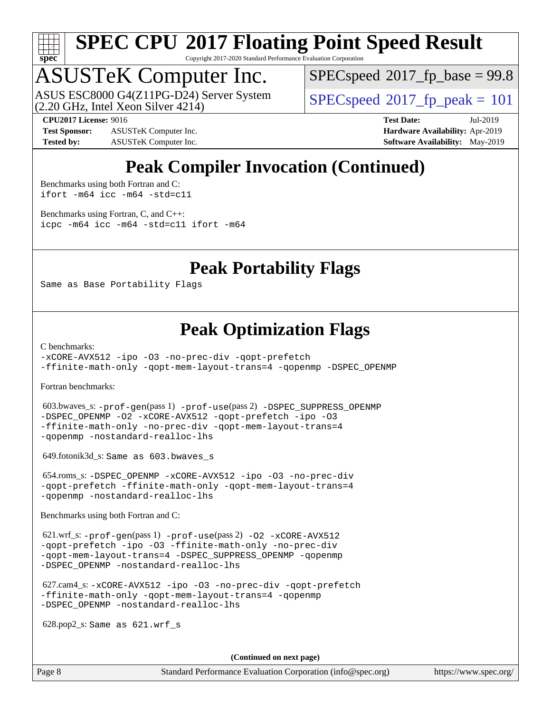

Copyright 2017-2020 Standard Performance Evaluation Corporation

### ASUSTeK Computer Inc.

(2.20 GHz, Intel Xeon Silver 4214) ASUS ESC8000 G4(Z11PG-D24) Server System  $\vert$  [SPECspeed](http://www.spec.org/auto/cpu2017/Docs/result-fields.html#SPECspeed2017fppeak)®[2017\\_fp\\_peak =](http://www.spec.org/auto/cpu2017/Docs/result-fields.html#SPECspeed2017fppeak) 101

 $SPECspeed^{\circ}2017\_fp\_base = 99.8$  $SPECspeed^{\circ}2017\_fp\_base = 99.8$ 

**[Test Sponsor:](http://www.spec.org/auto/cpu2017/Docs/result-fields.html#TestSponsor)** ASUSTeK Computer Inc. **[Hardware Availability:](http://www.spec.org/auto/cpu2017/Docs/result-fields.html#HardwareAvailability)** Apr-2019 **[Tested by:](http://www.spec.org/auto/cpu2017/Docs/result-fields.html#Testedby)** ASUSTeK Computer Inc. **[Software Availability:](http://www.spec.org/auto/cpu2017/Docs/result-fields.html#SoftwareAvailability)** May-2019

**[CPU2017 License:](http://www.spec.org/auto/cpu2017/Docs/result-fields.html#CPU2017License)** 9016 **[Test Date:](http://www.spec.org/auto/cpu2017/Docs/result-fields.html#TestDate)** Jul-2019

### **[Peak Compiler Invocation \(Continued\)](http://www.spec.org/auto/cpu2017/Docs/result-fields.html#PeakCompilerInvocation)**

[Benchmarks using both Fortran and C](http://www.spec.org/auto/cpu2017/Docs/result-fields.html#BenchmarksusingbothFortranandC): [ifort -m64](http://www.spec.org/cpu2017/results/res2019q3/cpu2017-20190805-16598.flags.html#user_CC_FCpeak_intel_ifort_64bit_24f2bb282fbaeffd6157abe4f878425411749daecae9a33200eee2bee2fe76f3b89351d69a8130dd5949958ce389cf37ff59a95e7a40d588e8d3a57e0c3fd751) [icc -m64 -std=c11](http://www.spec.org/cpu2017/results/res2019q3/cpu2017-20190805-16598.flags.html#user_CC_FCpeak_intel_icc_64bit_c11_33ee0cdaae7deeeab2a9725423ba97205ce30f63b9926c2519791662299b76a0318f32ddfffdc46587804de3178b4f9328c46fa7c2b0cd779d7a61945c91cd35)

[Benchmarks using Fortran, C, and C++:](http://www.spec.org/auto/cpu2017/Docs/result-fields.html#BenchmarksusingFortranCandCXX) [icpc -m64](http://www.spec.org/cpu2017/results/res2019q3/cpu2017-20190805-16598.flags.html#user_CC_CXX_FCpeak_intel_icpc_64bit_4ecb2543ae3f1412ef961e0650ca070fec7b7afdcd6ed48761b84423119d1bf6bdf5cad15b44d48e7256388bc77273b966e5eb805aefd121eb22e9299b2ec9d9) [icc -m64 -std=c11](http://www.spec.org/cpu2017/results/res2019q3/cpu2017-20190805-16598.flags.html#user_CC_CXX_FCpeak_intel_icc_64bit_c11_33ee0cdaae7deeeab2a9725423ba97205ce30f63b9926c2519791662299b76a0318f32ddfffdc46587804de3178b4f9328c46fa7c2b0cd779d7a61945c91cd35) [ifort -m64](http://www.spec.org/cpu2017/results/res2019q3/cpu2017-20190805-16598.flags.html#user_CC_CXX_FCpeak_intel_ifort_64bit_24f2bb282fbaeffd6157abe4f878425411749daecae9a33200eee2bee2fe76f3b89351d69a8130dd5949958ce389cf37ff59a95e7a40d588e8d3a57e0c3fd751)

#### **[Peak Portability Flags](http://www.spec.org/auto/cpu2017/Docs/result-fields.html#PeakPortabilityFlags)**

Same as Base Portability Flags

#### **[Peak Optimization Flags](http://www.spec.org/auto/cpu2017/Docs/result-fields.html#PeakOptimizationFlags)**

[C benchmarks](http://www.spec.org/auto/cpu2017/Docs/result-fields.html#Cbenchmarks):

[-xCORE-AVX512](http://www.spec.org/cpu2017/results/res2019q3/cpu2017-20190805-16598.flags.html#user_CCpeak_f-xCORE-AVX512) [-ipo](http://www.spec.org/cpu2017/results/res2019q3/cpu2017-20190805-16598.flags.html#user_CCpeak_f-ipo) [-O3](http://www.spec.org/cpu2017/results/res2019q3/cpu2017-20190805-16598.flags.html#user_CCpeak_f-O3) [-no-prec-div](http://www.spec.org/cpu2017/results/res2019q3/cpu2017-20190805-16598.flags.html#user_CCpeak_f-no-prec-div) [-qopt-prefetch](http://www.spec.org/cpu2017/results/res2019q3/cpu2017-20190805-16598.flags.html#user_CCpeak_f-qopt-prefetch) [-ffinite-math-only](http://www.spec.org/cpu2017/results/res2019q3/cpu2017-20190805-16598.flags.html#user_CCpeak_f_finite_math_only_cb91587bd2077682c4b38af759c288ed7c732db004271a9512da14a4f8007909a5f1427ecbf1a0fb78ff2a814402c6114ac565ca162485bbcae155b5e4258871) [-qopt-mem-layout-trans=4](http://www.spec.org/cpu2017/results/res2019q3/cpu2017-20190805-16598.flags.html#user_CCpeak_f-qopt-mem-layout-trans_fa39e755916c150a61361b7846f310bcdf6f04e385ef281cadf3647acec3f0ae266d1a1d22d972a7087a248fd4e6ca390a3634700869573d231a252c784941a8) [-qopenmp](http://www.spec.org/cpu2017/results/res2019q3/cpu2017-20190805-16598.flags.html#user_CCpeak_qopenmp_16be0c44f24f464004c6784a7acb94aca937f053568ce72f94b139a11c7c168634a55f6653758ddd83bcf7b8463e8028bb0b48b77bcddc6b78d5d95bb1df2967) [-DSPEC\\_OPENMP](http://www.spec.org/cpu2017/results/res2019q3/cpu2017-20190805-16598.flags.html#suite_CCpeak_DSPEC_OPENMP)

[Fortran benchmarks](http://www.spec.org/auto/cpu2017/Docs/result-fields.html#Fortranbenchmarks):

 603.bwaves\_s: [-prof-gen](http://www.spec.org/cpu2017/results/res2019q3/cpu2017-20190805-16598.flags.html#user_peakPASS1_FFLAGSPASS1_LDFLAGS603_bwaves_s_prof_gen_5aa4926d6013ddb2a31985c654b3eb18169fc0c6952a63635c234f711e6e63dd76e94ad52365559451ec499a2cdb89e4dc58ba4c67ef54ca681ffbe1461d6b36)(pass 1) [-prof-use](http://www.spec.org/cpu2017/results/res2019q3/cpu2017-20190805-16598.flags.html#user_peakPASS2_FFLAGSPASS2_LDFLAGS603_bwaves_s_prof_use_1a21ceae95f36a2b53c25747139a6c16ca95bd9def2a207b4f0849963b97e94f5260e30a0c64f4bb623698870e679ca08317ef8150905d41bd88c6f78df73f19)(pass 2) [-DSPEC\\_SUPPRESS\\_OPENMP](http://www.spec.org/cpu2017/results/res2019q3/cpu2017-20190805-16598.flags.html#suite_peakPASS1_FOPTIMIZE603_bwaves_s_DSPEC_SUPPRESS_OPENMP) [-DSPEC\\_OPENMP](http://www.spec.org/cpu2017/results/res2019q3/cpu2017-20190805-16598.flags.html#suite_peakPASS2_FOPTIMIZE603_bwaves_s_DSPEC_OPENMP) [-O2](http://www.spec.org/cpu2017/results/res2019q3/cpu2017-20190805-16598.flags.html#user_peakPASS1_FOPTIMIZE603_bwaves_s_f-O2) [-xCORE-AVX512](http://www.spec.org/cpu2017/results/res2019q3/cpu2017-20190805-16598.flags.html#user_peakPASS2_FOPTIMIZE603_bwaves_s_f-xCORE-AVX512) [-qopt-prefetch](http://www.spec.org/cpu2017/results/res2019q3/cpu2017-20190805-16598.flags.html#user_peakPASS1_FOPTIMIZEPASS2_FOPTIMIZE603_bwaves_s_f-qopt-prefetch) [-ipo](http://www.spec.org/cpu2017/results/res2019q3/cpu2017-20190805-16598.flags.html#user_peakPASS2_FOPTIMIZE603_bwaves_s_f-ipo) [-O3](http://www.spec.org/cpu2017/results/res2019q3/cpu2017-20190805-16598.flags.html#user_peakPASS2_FOPTIMIZE603_bwaves_s_f-O3) [-ffinite-math-only](http://www.spec.org/cpu2017/results/res2019q3/cpu2017-20190805-16598.flags.html#user_peakPASS1_FOPTIMIZEPASS2_FOPTIMIZE603_bwaves_s_f_finite_math_only_cb91587bd2077682c4b38af759c288ed7c732db004271a9512da14a4f8007909a5f1427ecbf1a0fb78ff2a814402c6114ac565ca162485bbcae155b5e4258871) [-no-prec-div](http://www.spec.org/cpu2017/results/res2019q3/cpu2017-20190805-16598.flags.html#user_peakPASS2_FOPTIMIZE603_bwaves_s_f-no-prec-div) [-qopt-mem-layout-trans=4](http://www.spec.org/cpu2017/results/res2019q3/cpu2017-20190805-16598.flags.html#user_peakPASS1_FOPTIMIZEPASS2_FOPTIMIZE603_bwaves_s_f-qopt-mem-layout-trans_fa39e755916c150a61361b7846f310bcdf6f04e385ef281cadf3647acec3f0ae266d1a1d22d972a7087a248fd4e6ca390a3634700869573d231a252c784941a8) [-qopenmp](http://www.spec.org/cpu2017/results/res2019q3/cpu2017-20190805-16598.flags.html#user_peakPASS2_FOPTIMIZE603_bwaves_s_qopenmp_16be0c44f24f464004c6784a7acb94aca937f053568ce72f94b139a11c7c168634a55f6653758ddd83bcf7b8463e8028bb0b48b77bcddc6b78d5d95bb1df2967) [-nostandard-realloc-lhs](http://www.spec.org/cpu2017/results/res2019q3/cpu2017-20190805-16598.flags.html#user_peakEXTRA_FOPTIMIZE603_bwaves_s_f_2003_std_realloc_82b4557e90729c0f113870c07e44d33d6f5a304b4f63d4c15d2d0f1fab99f5daaed73bdb9275d9ae411527f28b936061aa8b9c8f2d63842963b95c9dd6426b8a)

649.fotonik3d\_s: Same as 603.bwaves\_s

 654.roms\_s: [-DSPEC\\_OPENMP](http://www.spec.org/cpu2017/results/res2019q3/cpu2017-20190805-16598.flags.html#suite_peakFOPTIMIZE654_roms_s_DSPEC_OPENMP) [-xCORE-AVX512](http://www.spec.org/cpu2017/results/res2019q3/cpu2017-20190805-16598.flags.html#user_peakFOPTIMIZE654_roms_s_f-xCORE-AVX512) [-ipo](http://www.spec.org/cpu2017/results/res2019q3/cpu2017-20190805-16598.flags.html#user_peakFOPTIMIZE654_roms_s_f-ipo) [-O3](http://www.spec.org/cpu2017/results/res2019q3/cpu2017-20190805-16598.flags.html#user_peakFOPTIMIZE654_roms_s_f-O3) [-no-prec-div](http://www.spec.org/cpu2017/results/res2019q3/cpu2017-20190805-16598.flags.html#user_peakFOPTIMIZE654_roms_s_f-no-prec-div) [-qopt-prefetch](http://www.spec.org/cpu2017/results/res2019q3/cpu2017-20190805-16598.flags.html#user_peakFOPTIMIZE654_roms_s_f-qopt-prefetch) [-ffinite-math-only](http://www.spec.org/cpu2017/results/res2019q3/cpu2017-20190805-16598.flags.html#user_peakFOPTIMIZE654_roms_s_f_finite_math_only_cb91587bd2077682c4b38af759c288ed7c732db004271a9512da14a4f8007909a5f1427ecbf1a0fb78ff2a814402c6114ac565ca162485bbcae155b5e4258871) [-qopt-mem-layout-trans=4](http://www.spec.org/cpu2017/results/res2019q3/cpu2017-20190805-16598.flags.html#user_peakFOPTIMIZE654_roms_s_f-qopt-mem-layout-trans_fa39e755916c150a61361b7846f310bcdf6f04e385ef281cadf3647acec3f0ae266d1a1d22d972a7087a248fd4e6ca390a3634700869573d231a252c784941a8) [-qopenmp](http://www.spec.org/cpu2017/results/res2019q3/cpu2017-20190805-16598.flags.html#user_peakFOPTIMIZE654_roms_s_qopenmp_16be0c44f24f464004c6784a7acb94aca937f053568ce72f94b139a11c7c168634a55f6653758ddd83bcf7b8463e8028bb0b48b77bcddc6b78d5d95bb1df2967) [-nostandard-realloc-lhs](http://www.spec.org/cpu2017/results/res2019q3/cpu2017-20190805-16598.flags.html#user_peakEXTRA_FOPTIMIZE654_roms_s_f_2003_std_realloc_82b4557e90729c0f113870c07e44d33d6f5a304b4f63d4c15d2d0f1fab99f5daaed73bdb9275d9ae411527f28b936061aa8b9c8f2d63842963b95c9dd6426b8a)

[Benchmarks using both Fortran and C](http://www.spec.org/auto/cpu2017/Docs/result-fields.html#BenchmarksusingbothFortranandC):

 621.wrf\_s: [-prof-gen](http://www.spec.org/cpu2017/results/res2019q3/cpu2017-20190805-16598.flags.html#user_peakPASS1_CFLAGSPASS1_FFLAGSPASS1_LDFLAGS621_wrf_s_prof_gen_5aa4926d6013ddb2a31985c654b3eb18169fc0c6952a63635c234f711e6e63dd76e94ad52365559451ec499a2cdb89e4dc58ba4c67ef54ca681ffbe1461d6b36)(pass 1) [-prof-use](http://www.spec.org/cpu2017/results/res2019q3/cpu2017-20190805-16598.flags.html#user_peakPASS2_CFLAGSPASS2_FFLAGSPASS2_LDFLAGS621_wrf_s_prof_use_1a21ceae95f36a2b53c25747139a6c16ca95bd9def2a207b4f0849963b97e94f5260e30a0c64f4bb623698870e679ca08317ef8150905d41bd88c6f78df73f19)(pass 2) [-O2](http://www.spec.org/cpu2017/results/res2019q3/cpu2017-20190805-16598.flags.html#user_peakPASS1_COPTIMIZEPASS1_FOPTIMIZE621_wrf_s_f-O2) [-xCORE-AVX512](http://www.spec.org/cpu2017/results/res2019q3/cpu2017-20190805-16598.flags.html#user_peakPASS2_COPTIMIZEPASS2_FOPTIMIZE621_wrf_s_f-xCORE-AVX512) [-qopt-prefetch](http://www.spec.org/cpu2017/results/res2019q3/cpu2017-20190805-16598.flags.html#user_peakPASS1_COPTIMIZEPASS1_FOPTIMIZEPASS2_COPTIMIZEPASS2_FOPTIMIZE621_wrf_s_f-qopt-prefetch) [-ipo](http://www.spec.org/cpu2017/results/res2019q3/cpu2017-20190805-16598.flags.html#user_peakPASS2_COPTIMIZEPASS2_FOPTIMIZE621_wrf_s_f-ipo) [-O3](http://www.spec.org/cpu2017/results/res2019q3/cpu2017-20190805-16598.flags.html#user_peakPASS2_COPTIMIZEPASS2_FOPTIMIZE621_wrf_s_f-O3) [-ffinite-math-only](http://www.spec.org/cpu2017/results/res2019q3/cpu2017-20190805-16598.flags.html#user_peakPASS1_COPTIMIZEPASS1_FOPTIMIZEPASS2_COPTIMIZEPASS2_FOPTIMIZE621_wrf_s_f_finite_math_only_cb91587bd2077682c4b38af759c288ed7c732db004271a9512da14a4f8007909a5f1427ecbf1a0fb78ff2a814402c6114ac565ca162485bbcae155b5e4258871) [-no-prec-div](http://www.spec.org/cpu2017/results/res2019q3/cpu2017-20190805-16598.flags.html#user_peakPASS2_COPTIMIZEPASS2_FOPTIMIZE621_wrf_s_f-no-prec-div) [-qopt-mem-layout-trans=4](http://www.spec.org/cpu2017/results/res2019q3/cpu2017-20190805-16598.flags.html#user_peakPASS1_COPTIMIZEPASS1_FOPTIMIZEPASS2_COPTIMIZEPASS2_FOPTIMIZE621_wrf_s_f-qopt-mem-layout-trans_fa39e755916c150a61361b7846f310bcdf6f04e385ef281cadf3647acec3f0ae266d1a1d22d972a7087a248fd4e6ca390a3634700869573d231a252c784941a8) [-DSPEC\\_SUPPRESS\\_OPENMP](http://www.spec.org/cpu2017/results/res2019q3/cpu2017-20190805-16598.flags.html#suite_peakPASS1_COPTIMIZEPASS1_FOPTIMIZE621_wrf_s_DSPEC_SUPPRESS_OPENMP) [-qopenmp](http://www.spec.org/cpu2017/results/res2019q3/cpu2017-20190805-16598.flags.html#user_peakPASS2_COPTIMIZEPASS2_FOPTIMIZE621_wrf_s_qopenmp_16be0c44f24f464004c6784a7acb94aca937f053568ce72f94b139a11c7c168634a55f6653758ddd83bcf7b8463e8028bb0b48b77bcddc6b78d5d95bb1df2967) [-DSPEC\\_OPENMP](http://www.spec.org/cpu2017/results/res2019q3/cpu2017-20190805-16598.flags.html#suite_peakPASS2_COPTIMIZEPASS2_FOPTIMIZE621_wrf_s_DSPEC_OPENMP) [-nostandard-realloc-lhs](http://www.spec.org/cpu2017/results/res2019q3/cpu2017-20190805-16598.flags.html#user_peakEXTRA_FOPTIMIZE621_wrf_s_f_2003_std_realloc_82b4557e90729c0f113870c07e44d33d6f5a304b4f63d4c15d2d0f1fab99f5daaed73bdb9275d9ae411527f28b936061aa8b9c8f2d63842963b95c9dd6426b8a)

 627.cam4\_s: [-xCORE-AVX512](http://www.spec.org/cpu2017/results/res2019q3/cpu2017-20190805-16598.flags.html#user_peakCOPTIMIZEFOPTIMIZE627_cam4_s_f-xCORE-AVX512) [-ipo](http://www.spec.org/cpu2017/results/res2019q3/cpu2017-20190805-16598.flags.html#user_peakCOPTIMIZEFOPTIMIZE627_cam4_s_f-ipo) [-O3](http://www.spec.org/cpu2017/results/res2019q3/cpu2017-20190805-16598.flags.html#user_peakCOPTIMIZEFOPTIMIZE627_cam4_s_f-O3) [-no-prec-div](http://www.spec.org/cpu2017/results/res2019q3/cpu2017-20190805-16598.flags.html#user_peakCOPTIMIZEFOPTIMIZE627_cam4_s_f-no-prec-div) [-qopt-prefetch](http://www.spec.org/cpu2017/results/res2019q3/cpu2017-20190805-16598.flags.html#user_peakCOPTIMIZEFOPTIMIZE627_cam4_s_f-qopt-prefetch) [-ffinite-math-only](http://www.spec.org/cpu2017/results/res2019q3/cpu2017-20190805-16598.flags.html#user_peakCOPTIMIZEFOPTIMIZE627_cam4_s_f_finite_math_only_cb91587bd2077682c4b38af759c288ed7c732db004271a9512da14a4f8007909a5f1427ecbf1a0fb78ff2a814402c6114ac565ca162485bbcae155b5e4258871) [-qopt-mem-layout-trans=4](http://www.spec.org/cpu2017/results/res2019q3/cpu2017-20190805-16598.flags.html#user_peakCOPTIMIZEFOPTIMIZE627_cam4_s_f-qopt-mem-layout-trans_fa39e755916c150a61361b7846f310bcdf6f04e385ef281cadf3647acec3f0ae266d1a1d22d972a7087a248fd4e6ca390a3634700869573d231a252c784941a8) [-qopenmp](http://www.spec.org/cpu2017/results/res2019q3/cpu2017-20190805-16598.flags.html#user_peakCOPTIMIZEFOPTIMIZE627_cam4_s_qopenmp_16be0c44f24f464004c6784a7acb94aca937f053568ce72f94b139a11c7c168634a55f6653758ddd83bcf7b8463e8028bb0b48b77bcddc6b78d5d95bb1df2967) [-DSPEC\\_OPENMP](http://www.spec.org/cpu2017/results/res2019q3/cpu2017-20190805-16598.flags.html#suite_peakCOPTIMIZEFOPTIMIZE627_cam4_s_DSPEC_OPENMP) [-nostandard-realloc-lhs](http://www.spec.org/cpu2017/results/res2019q3/cpu2017-20190805-16598.flags.html#user_peakEXTRA_FOPTIMIZE627_cam4_s_f_2003_std_realloc_82b4557e90729c0f113870c07e44d33d6f5a304b4f63d4c15d2d0f1fab99f5daaed73bdb9275d9ae411527f28b936061aa8b9c8f2d63842963b95c9dd6426b8a)

628.pop2\_s: Same as 621.wrf\_s

**(Continued on next page)**